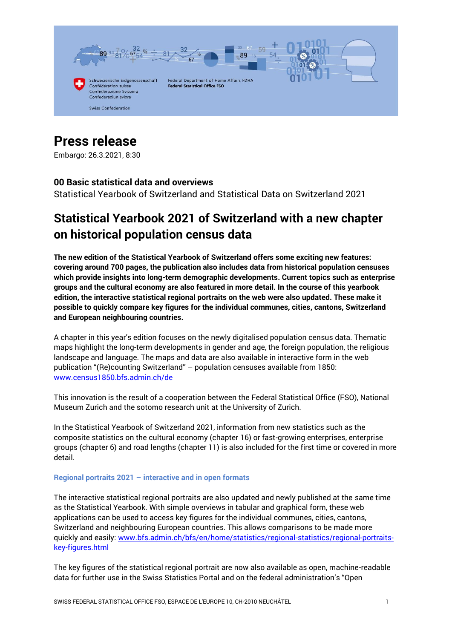

# **Press release**

Embargo: 26.3.2021, 8:30

## **00 Basic statistical data and overviews**

Statistical Yearbook of Switzerland and Statistical Data on Switzerland 2021

## **Statistical Yearbook 2021 of Switzerland with a new chapter on historical population census data**

**The new edition of the Statistical Yearbook of Switzerland offers some exciting new features: covering around 700 pages, the publication also includes data from historical population censuses which provide insights into long-term demographic developments. Current topics such as enterprise groups and the cultural economy are also featured in more detail. In the course of this yearbook edition, the interactive statistical regional portraits on the web were also updated. These make it possible to quickly compare key figures for the individual communes, cities, cantons, Switzerland and European neighbouring countries.**

A chapter in this year's edition focuses on the newly digitalised population census data. Thematic maps highlight the long-term developments in gender and age, the foreign population, the religious landscape and language. The maps and data are also available in interactive form in the web publication "(Re)counting Switzerland" – population censuses available from 1850: [www.census1850.bfs.admin.ch/de](https://www.census1850.bfs.admin.ch/de/)

This innovation is the result of a cooperation between the Federal Statistical Office (FSO), National Museum Zurich and the sotomo research unit at the University of Zurich.

In the Statistical Yearbook of Switzerland 2021, information from new statistics such as the composite statistics on the cultural economy (chapter 16) or fast-growing enterprises, enterprise groups (chapter 6) and road lengths (chapter 11) is also included for the first time or covered in more detail.

#### **Regional portraits 2021 – interactive and in open formats**

The interactive statistical regional portraits are also updated and newly published at the same time as the Statistical Yearbook. With simple overviews in tabular and graphical form, these web applications can be used to access key figures for the individual communes, cities, cantons, Switzerland and neighbouring European countries. This allows comparisons to be made more quickly and easily[: www.bfs.admin.ch/bfs/en/home/statistics/regional-statistics/regional-portraits](https://www.bfs.admin.ch/bfs/en/home/statistics/regional-statistics/regional-portraits-key-figures.html)[key-figures.html](https://www.bfs.admin.ch/bfs/en/home/statistics/regional-statistics/regional-portraits-key-figures.html)

The key figures of the statistical regional portrait are now also available as open, machine-readable data for further use in the Swiss Statistics Portal and on the federal administration's "Open